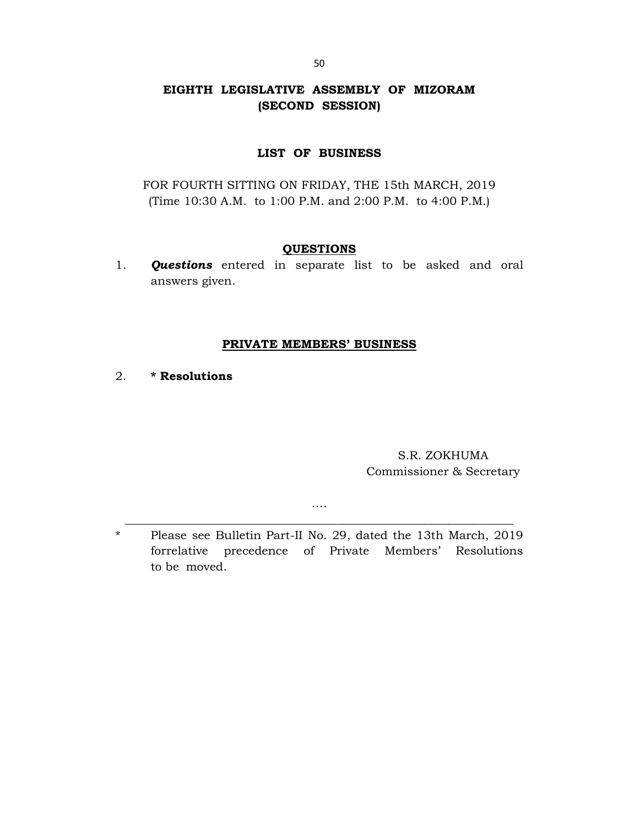# EIGHTH LEGISLATIVE ASSEMBLY OF MIZORAM (SECOND SESSION)

## LIST OF BUSINESS

FOR FOURTH SITTING ON FRIDAY, THE 15th MARCH, 2019 (Time 10:30 A.M. to 1:00 P.M. and 2:00 P.M. to 4:00 P.M.)

#### QUESTIONS

1. **Questions** entered in separate list to be asked and oral answers given.

# PRIVATE MEMBERS' BUSINESS

2. \* Resolutions

S.R. ZOKHUMA Commissioner & Secretary

\* Please see Bulletin Part-II No. 29, dated the 13th March, 2019 forrelative precedence of Private Members' Resolutions to be moved.

…. \_\_\_\_\_\_\_\_\_\_\_\_\_\_\_\_\_\_\_\_\_\_\_\_\_\_\_\_\_\_\_\_\_\_\_\_\_\_\_\_\_\_\_\_\_\_\_\_\_\_\_\_\_\_\_\_\_\_\_\_\_\_\_\_\_\_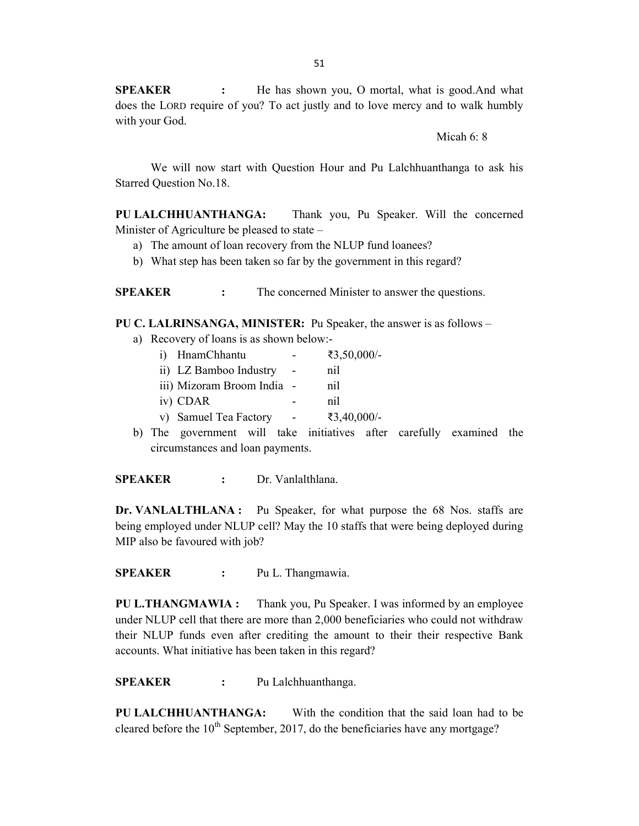**SPEAKER** : He has shown you, O mortal, what is good.And what does the LORD require of you? To act justly and to love mercy and to walk humbly with your God.

Micah 6: 8

 We will now start with Question Hour and Pu Lalchhuanthanga to ask his Starred Question No.18.

PU LALCHHUANTHANGA: Thank you, Pu Speaker. Will the concerned Minister of Agriculture be pleased to state –

- a) The amount of loan recovery from the NLUP fund loanees?
- b) What step has been taken so far by the government in this regard?

SPEAKER : The concerned Minister to answer the questions.

PU C. LALRINSANGA, MINISTER: Pu Speaker, the answer is as follows –

- a) Recovery of loans is as shown below:
	- i) HnamChhantu ₹3,50,000/-
	- ii) LZ Bamboo Industry nil
	- iii) Mizoram Broom India nil
	- iv) CDAR nil
	- v) Samuel Tea Factory ₹3,40,000/-
- b) The government will take initiatives after carefully examined the circumstances and loan payments.

SPEAKER : Dr. Vanlalthlana.

Dr. VANLALTHLANA : Pu Speaker, for what purpose the 68 Nos. staffs are being employed under NLUP cell? May the 10 staffs that were being deployed during MIP also be favoured with job?

SPEAKER : Pu L. Thangmawia.

PU L.THANGMAWIA : Thank you, Pu Speaker. I was informed by an employee under NLUP cell that there are more than 2,000 beneficiaries who could not withdraw their NLUP funds even after crediting the amount to their their respective Bank accounts. What initiative has been taken in this regard?

SPEAKER : Pu Lalchhuanthanga.

PU LALCHHUANTHANGA: With the condition that the said loan had to be cleared before the  $10^{th}$  September, 2017, do the beneficiaries have any mortgage?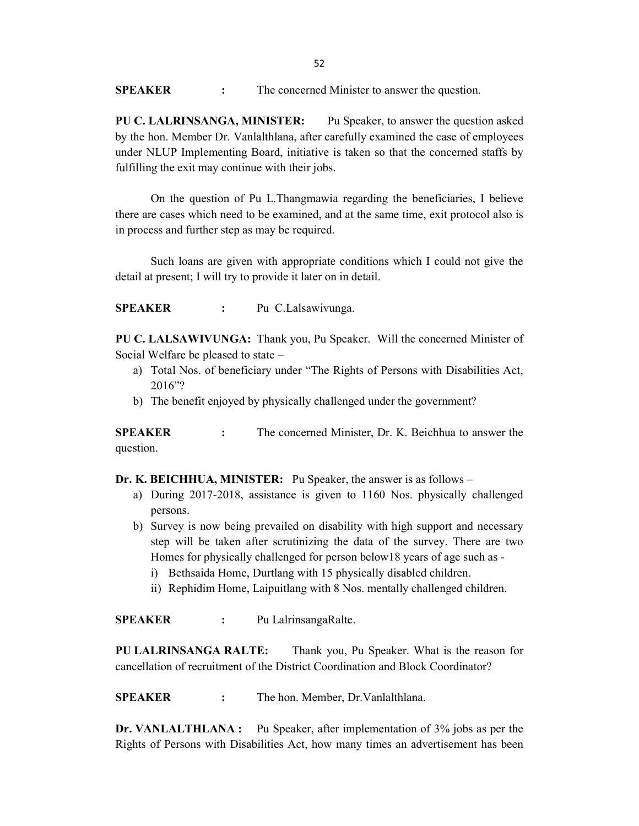**SPEAKER** : The concerned Minister to answer the question.

PU C. LALRINSANGA, MINISTER: Pu Speaker, to answer the question asked by the hon. Member Dr. Vanlalthlana, after carefully examined the case of employees under NLUP Implementing Board, initiative is taken so that the concerned staffs by fulfilling the exit may continue with their jobs.

On the question of Pu L.Thangmawia regarding the beneficiaries, I believe there are cases which need to be examined, and at the same time, exit protocol also is in process and further step as may be required.

Such loans are given with appropriate conditions which I could not give the detail at present; I will try to provide it later on in detail.

SPEAKER : Pu C.Lalsawivunga.

PU C. LALSAWIVUNGA: Thank you, Pu Speaker. Will the concerned Minister of Social Welfare be pleased to state –

- a) Total Nos. of beneficiary under "The Rights of Persons with Disabilities Act, 2016"?
- b) The benefit enjoyed by physically challenged under the government?

SPEAKER : The concerned Minister, Dr. K. Beichhua to answer the question.

Dr. K. BEICHHUA, MINISTER: Pu Speaker, the answer is as follows –

- a) During 2017-2018, assistance is given to 1160 Nos. physically challenged persons.
- b) Survey is now being prevailed on disability with high support and necessary step will be taken after scrutinizing the data of the survey. There are two Homes for physically challenged for person below18 years of age such as
	- i) Bethsaida Home, Durtlang with 15 physically disabled children.
	- ii) Rephidim Home, Laipuitlang with 8 Nos. mentally challenged children.

SPEAKER : Pu LalrinsangaRalte.

PU LALRINSANGA RALTE: Thank you, Pu Speaker. What is the reason for cancellation of recruitment of the District Coordination and Block Coordinator?

SPEAKER : The hon. Member, Dr. Vanlalthlana.

Dr. VANLALTHLANA : Pu Speaker, after implementation of 3% jobs as per the Rights of Persons with Disabilities Act, how many times an advertisement has been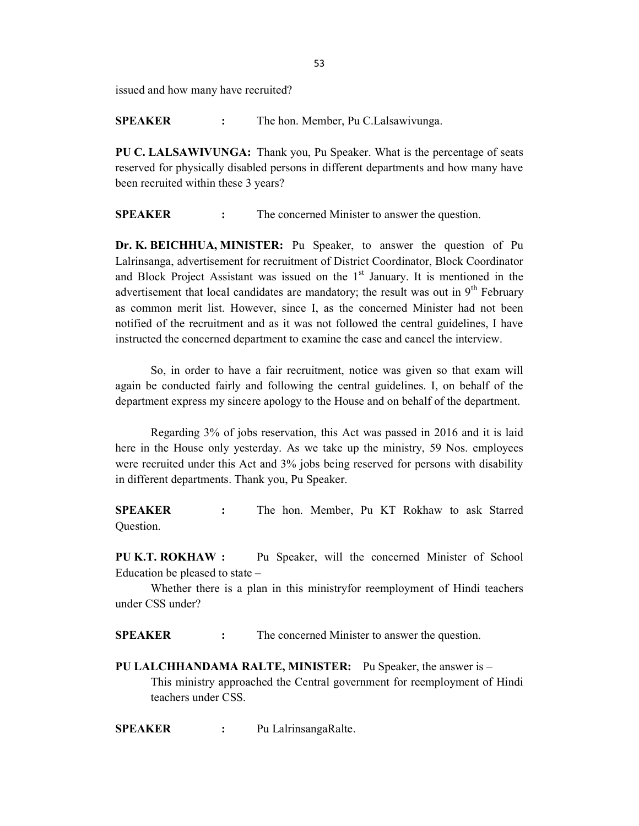issued and how many have recruited?

SPEAKER : The hon. Member, Pu C.Lalsawivunga.

PU C. LALSAWIVUNGA: Thank you, Pu Speaker. What is the percentage of seats reserved for physically disabled persons in different departments and how many have been recruited within these 3 years?

**SPEAKER** : The concerned Minister to answer the question.

Dr. K. BEICHHUA, MINISTER: Pu Speaker, to answer the question of Pu Lalrinsanga, advertisement for recruitment of District Coordinator, Block Coordinator and Block Project Assistant was issued on the  $1<sup>st</sup>$  January. It is mentioned in the advertisement that local candidates are mandatory; the result was out in  $9<sup>th</sup>$  February as common merit list. However, since I, as the concerned Minister had not been notified of the recruitment and as it was not followed the central guidelines, I have instructed the concerned department to examine the case and cancel the interview.

So, in order to have a fair recruitment, notice was given so that exam will again be conducted fairly and following the central guidelines. I, on behalf of the department express my sincere apology to the House and on behalf of the department.

Regarding 3% of jobs reservation, this Act was passed in 2016 and it is laid here in the House only yesterday. As we take up the ministry, 59 Nos. employees were recruited under this Act and 3% jobs being reserved for persons with disability in different departments. Thank you, Pu Speaker.

SPEAKER : The hon. Member, Pu KT Rokhaw to ask Starred Question.

PU K.T. ROKHAW : Pu Speaker, will the concerned Minister of School Education be pleased to state –

 Whether there is a plan in this ministryfor reemployment of Hindi teachers under CSS under?

SPEAKER : The concerned Minister to answer the question.

PU LALCHHANDAMA RALTE, MINISTER: Pu Speaker, the answer is – This ministry approached the Central government for reemployment of Hindi teachers under CSS.

SPEAKER : Pu LalrinsangaRalte.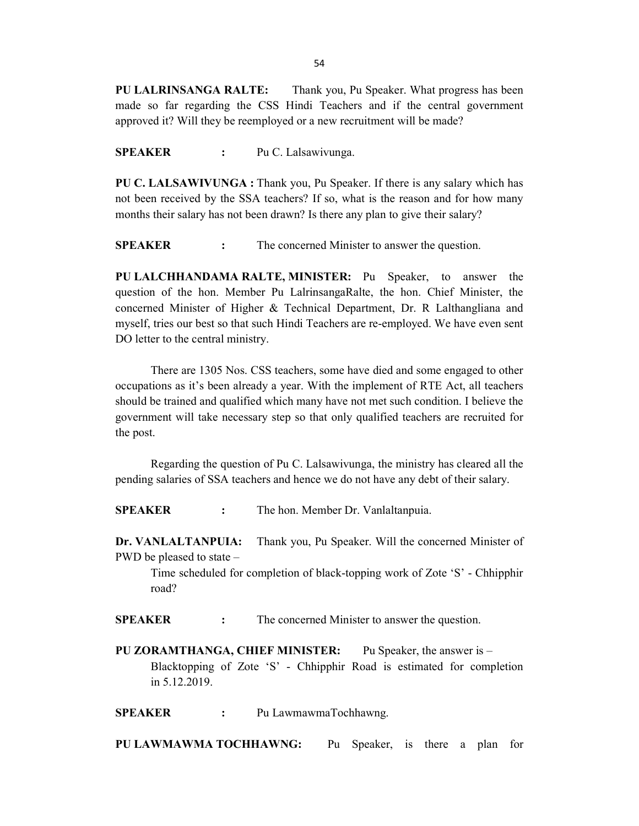PU LALRINSANGA RALTE: Thank you, Pu Speaker. What progress has been made so far regarding the CSS Hindi Teachers and if the central government approved it? Will they be reemployed or a new recruitment will be made?

SPEAKER : Pu C. Lalsawivunga.

PU C. LALSAWIVUNGA : Thank you, Pu Speaker. If there is any salary which has not been received by the SSA teachers? If so, what is the reason and for how many months their salary has not been drawn? Is there any plan to give their salary?

SPEAKER : The concerned Minister to answer the question.

PU LALCHHANDAMA RALTE, MINISTER: Pu Speaker, to answer the question of the hon. Member Pu LalrinsangaRalte, the hon. Chief Minister, the concerned Minister of Higher & Technical Department, Dr. R Lalthangliana and myself, tries our best so that such Hindi Teachers are re-employed. We have even sent DO letter to the central ministry.

There are 1305 Nos. CSS teachers, some have died and some engaged to other occupations as it's been already a year. With the implement of RTE Act, all teachers should be trained and qualified which many have not met such condition. I believe the government will take necessary step so that only qualified teachers are recruited for the post.

Regarding the question of Pu C. Lalsawivunga, the ministry has cleared all the pending salaries of SSA teachers and hence we do not have any debt of their salary.

SPEAKER : The hon. Member Dr. Vanlaltanpuia.

Dr. VANLALTANPUIA: Thank you, Pu Speaker. Will the concerned Minister of PWD be pleased to state –

 Time scheduled for completion of black-topping work of Zote 'S' - Chhipphir road?

SPEAKER : The concerned Minister to answer the question.

PU ZORAMTHANGA, CHIEF MINISTER: Pu Speaker, the answer is – Blacktopping of Zote 'S' - Chhipphir Road is estimated for completion in 5.12.2019.

SPEAKER : Pu LawmawmaTochhawng.

PU LAWMAWMA TOCHHAWNG: Pu Speaker, is there a plan for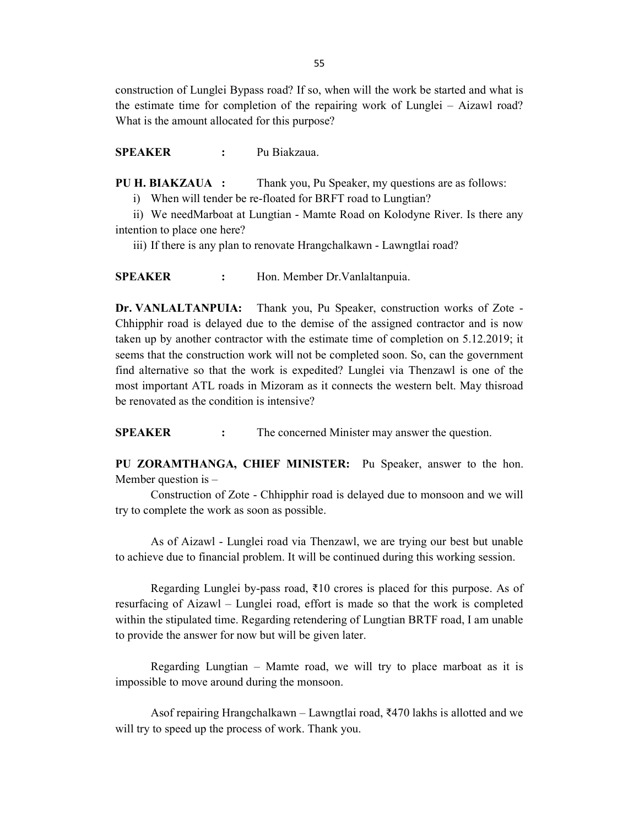construction of Lunglei Bypass road? If so, when will the work be started and what is the estimate time for completion of the repairing work of Lunglei – Aizawl road? What is the amount allocated for this purpose?

SPEAKER : Pu Biakzaua.

PU H. BIAKZAUA : Thank you, Pu Speaker, my questions are as follows:

i) When will tender be re-floated for BRFT road to Lungtian?

ii) We needMarboat at Lungtian - Mamte Road on Kolodyne River. Is there any intention to place one here?

iii) If there is any plan to renovate Hrangchalkawn - Lawngtlai road?

SPEAKER : Hon. Member Dr. Vanlaltanpuia.

Dr. VANLALTANPUIA: Thank you, Pu Speaker, construction works of Zote - Chhipphir road is delayed due to the demise of the assigned contractor and is now taken up by another contractor with the estimate time of completion on 5.12.2019; it seems that the construction work will not be completed soon. So, can the government find alternative so that the work is expedited? Lunglei via Thenzawl is one of the most important ATL roads in Mizoram as it connects the western belt. May thisroad be renovated as the condition is intensive?

**SPEAKER** : The concerned Minister may answer the question.

PU ZORAMTHANGA, CHIEF MINISTER: Pu Speaker, answer to the hon. Member question is  $-$ 

 Construction of Zote - Chhipphir road is delayed due to monsoon and we will try to complete the work as soon as possible.

 As of Aizawl - Lunglei road via Thenzawl, we are trying our best but unable to achieve due to financial problem. It will be continued during this working session.

 Regarding Lunglei by-pass road, ₹10 crores is placed for this purpose. As of resurfacing of Aizawl – Lunglei road, effort is made so that the work is completed within the stipulated time. Regarding retendering of Lungtian BRTF road, I am unable to provide the answer for now but will be given later.

 Regarding Lungtian – Mamte road, we will try to place marboat as it is impossible to move around during the monsoon.

Asof repairing Hrangchalkawn – Lawngtlai road, ₹470 lakhs is allotted and we will try to speed up the process of work. Thank you.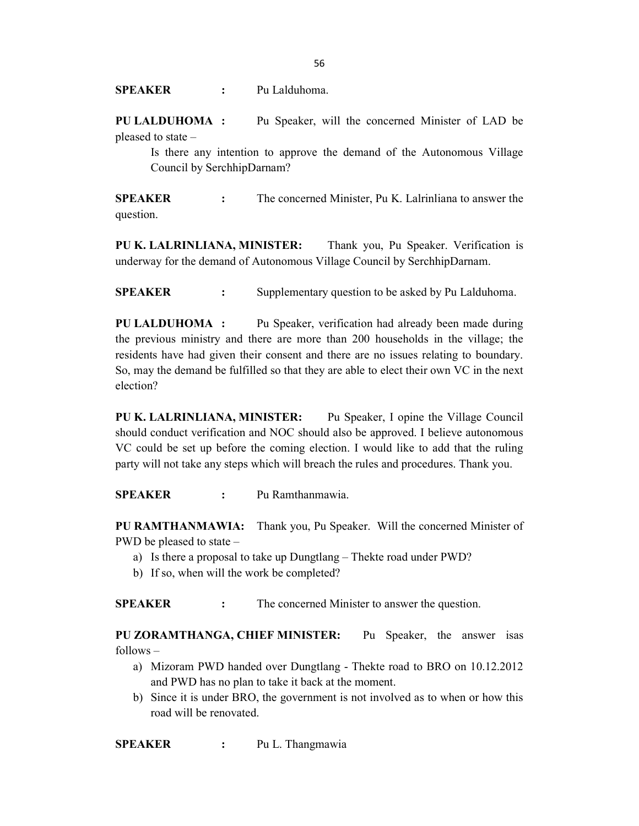SPEAKER : Pu Lalduhoma.

PU LALDUHOMA : Pu Speaker, will the concerned Minister of LAD be pleased to state –

 Is there any intention to approve the demand of the Autonomous Village Council by SerchhipDarnam?

SPEAKER : The concerned Minister, Pu K. Lalrinliana to answer the question.

PU K. LALRINLIANA, MINISTER: Thank you, Pu Speaker. Verification is underway for the demand of Autonomous Village Council by SerchhipDarnam.

SPEAKER : Supplementary question to be asked by Pu Lalduhoma.

PU LALDUHOMA : Pu Speaker, verification had already been made during the previous ministry and there are more than 200 households in the village; the residents have had given their consent and there are no issues relating to boundary. So, may the demand be fulfilled so that they are able to elect their own VC in the next election?

PU K. LALRINLIANA, MINISTER: Pu Speaker, I opine the Village Council should conduct verification and NOC should also be approved. I believe autonomous VC could be set up before the coming election. I would like to add that the ruling party will not take any steps which will breach the rules and procedures. Thank you.

SPEAKER : Pu Ramthanmawia.

PU RAMTHANMAWIA: Thank you, Pu Speaker. Will the concerned Minister of PWD be pleased to state –

- a) Is there a proposal to take up Dungtlang Thekte road under PWD?
- b) If so, when will the work be completed?

SPEAKER : The concerned Minister to answer the question.

PU ZORAMTHANGA, CHIEF MINISTER: Pu Speaker, the answer isas follows –

- a) Mizoram PWD handed over Dungtlang Thekte road to BRO on 10.12.2012 and PWD has no plan to take it back at the moment.
- b) Since it is under BRO, the government is not involved as to when or how this road will be renovated.

SPEAKER : Pu L. Thangmawia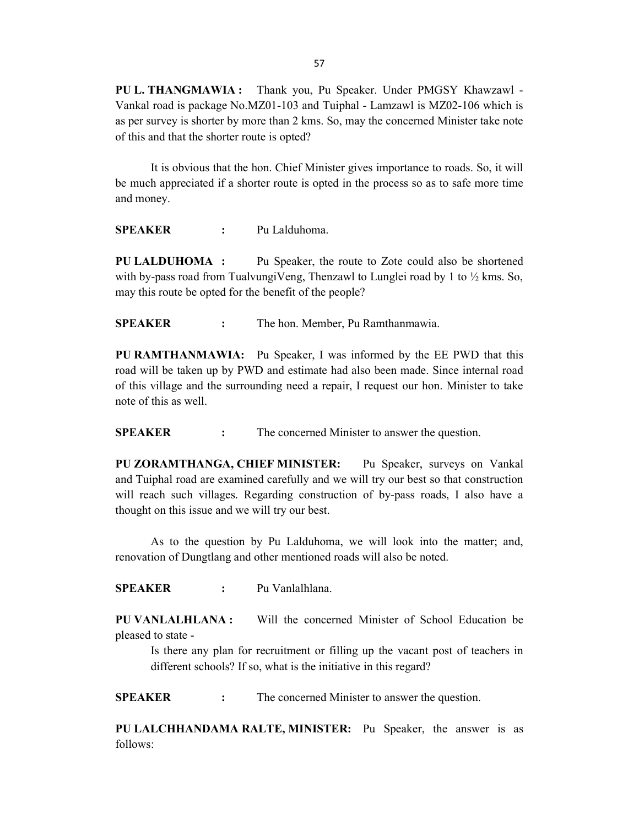PU L. THANGMAWIA : Thank you, Pu Speaker. Under PMGSY Khawzawl - Vankal road is package No.MZ01-103 and Tuiphal - Lamzawl is MZ02-106 which is as per survey is shorter by more than 2 kms. So, may the concerned Minister take note of this and that the shorter route is opted?

 It is obvious that the hon. Chief Minister gives importance to roads. So, it will be much appreciated if a shorter route is opted in the process so as to safe more time and money.

SPEAKER : Pu Lalduhoma.

PU LALDUHOMA : Pu Speaker, the route to Zote could also be shortened with by-pass road from TualvungiVeng, Thenzawl to Lunglei road by 1 to  $\frac{1}{2}$  kms. So, may this route be opted for the benefit of the people?

SPEAKER : The hon. Member, Pu Ramthanmawia.

PU RAMTHANMAWIA: Pu Speaker, I was informed by the EE PWD that this road will be taken up by PWD and estimate had also been made. Since internal road of this village and the surrounding need a repair, I request our hon. Minister to take note of this as well.

SPEAKER : The concerned Minister to answer the question.

PU ZORAMTHANGA, CHIEF MINISTER: Pu Speaker, surveys on Vankal and Tuiphal road are examined carefully and we will try our best so that construction will reach such villages. Regarding construction of by-pass roads, I also have a thought on this issue and we will try our best.

As to the question by Pu Lalduhoma, we will look into the matter; and, renovation of Dungtlang and other mentioned roads will also be noted.

SPEAKER : Pu Vanlalhlana.

PU VANLALHLANA : Will the concerned Minister of School Education be pleased to state -

 Is there any plan for recruitment or filling up the vacant post of teachers in different schools? If so, what is the initiative in this regard?

**SPEAKER** : The concerned Minister to answer the question.

PU LALCHHANDAMA RALTE, MINISTER: Pu Speaker, the answer is as follows: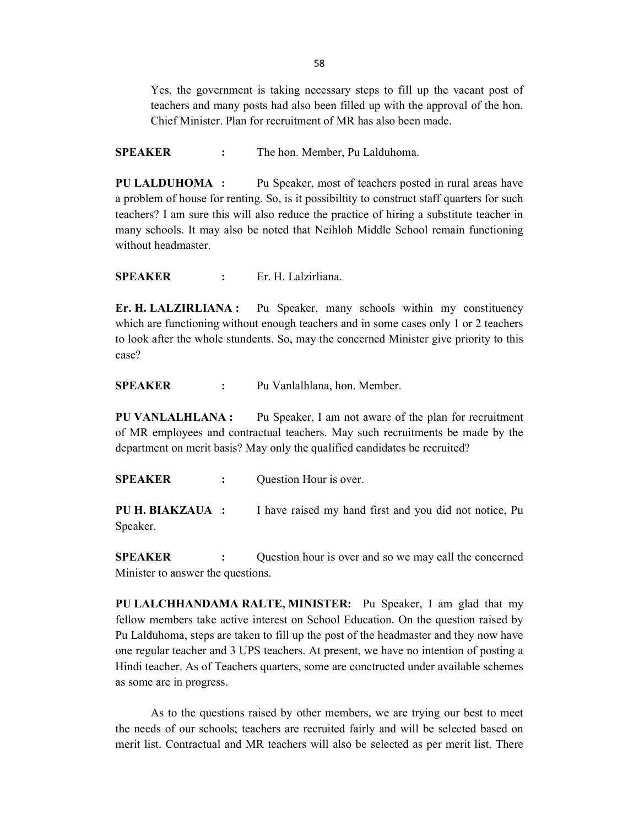Yes, the government is taking necessary steps to fill up the vacant post of teachers and many posts had also been filled up with the approval of the hon. Chief Minister. Plan for recruitment of MR has also been made.

SPEAKER : The hon. Member, Pu Lalduhoma.

PU LALDUHOMA : Pu Speaker, most of teachers posted in rural areas have a problem of house for renting. So, is it possibiltity to construct staff quarters for such teachers? I am sure this will also reduce the practice of hiring a substitute teacher in many schools. It may also be noted that Neihloh Middle School remain functioning without headmaster.

SPEAKER : Er. H. Lalzirliana.

Er. H. LALZIRLIANA : Pu Speaker, many schools within my constituency which are functioning without enough teachers and in some cases only 1 or 2 teachers to look after the whole stundents. So, may the concerned Minister give priority to this case?

SPEAKER : Pu Vanlalhlana, hon. Member.

PU VANLALHLANA : Pu Speaker, I am not aware of the plan for recruitment of MR employees and contractual teachers. May such recruitments be made by the department on merit basis? May only the qualified candidates be recruited?

SPEAKER : Question Hour is over.

PU H. BIAKZAUA : I have raised my hand first and you did not notice, Pu Speaker.

**SPEAKER** : Question hour is over and so we may call the concerned Minister to answer the questions.

PU LALCHHANDAMA RALTE, MINISTER: Pu Speaker, I am glad that my fellow members take active interest on School Education. On the question raised by Pu Lalduhoma, steps are taken to fill up the post of the headmaster and they now have one regular teacher and 3 UPS teachers. At present, we have no intention of posting a Hindi teacher. As of Teachers quarters, some are conctructed under available schemes as some are in progress.

 As to the questions raised by other members, we are trying our best to meet the needs of our schools; teachers are recruited fairly and will be selected based on merit list. Contractual and MR teachers will also be selected as per merit list. There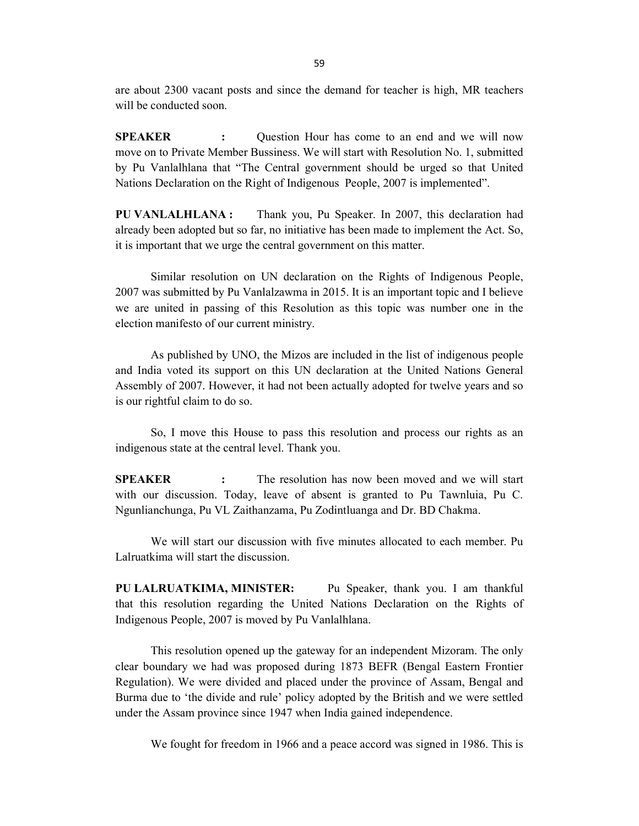are about 2300 vacant posts and since the demand for teacher is high, MR teachers will be conducted soon.

SPEAKER : Question Hour has come to an end and we will now move on to Private Member Bussiness. We will start with Resolution No. 1, submitted by Pu Vanlalhlana that "The Central government should be urged so that United Nations Declaration on the Right of Indigenous People, 2007 is implemented".

PU VANLALHLANA : Thank you, Pu Speaker. In 2007, this declaration had already been adopted but so far, no initiative has been made to implement the Act. So, it is important that we urge the central government on this matter.

 Similar resolution on UN declaration on the Rights of Indigenous People, 2007 was submitted by Pu Vanlalzawma in 2015. It is an important topic and I believe we are united in passing of this Resolution as this topic was number one in the election manifesto of our current ministry.

 As published by UNO, the Mizos are included in the list of indigenous people and India voted its support on this UN declaration at the United Nations General Assembly of 2007. However, it had not been actually adopted for twelve years and so is our rightful claim to do so.

 So, I move this House to pass this resolution and process our rights as an indigenous state at the central level. Thank you.

**SPEAKER** : The resolution has now been moved and we will start with our discussion. Today, leave of absent is granted to Pu Tawnluia, Pu C. Ngunlianchunga, Pu VL Zaithanzama, Pu Zodintluanga and Dr. BD Chakma.

We will start our discussion with five minutes allocated to each member. Pu Lalruatkima will start the discussion.

PU LALRUATKIMA, MINISTER: Pu Speaker, thank you. I am thankful that this resolution regarding the United Nations Declaration on the Rights of Indigenous People, 2007 is moved by Pu Vanlalhlana.

 This resolution opened up the gateway for an independent Mizoram. The only clear boundary we had was proposed during 1873 BEFR (Bengal Eastern Frontier Regulation). We were divided and placed under the province of Assam, Bengal and Burma due to 'the divide and rule' policy adopted by the British and we were settled under the Assam province since 1947 when India gained independence.

We fought for freedom in 1966 and a peace accord was signed in 1986. This is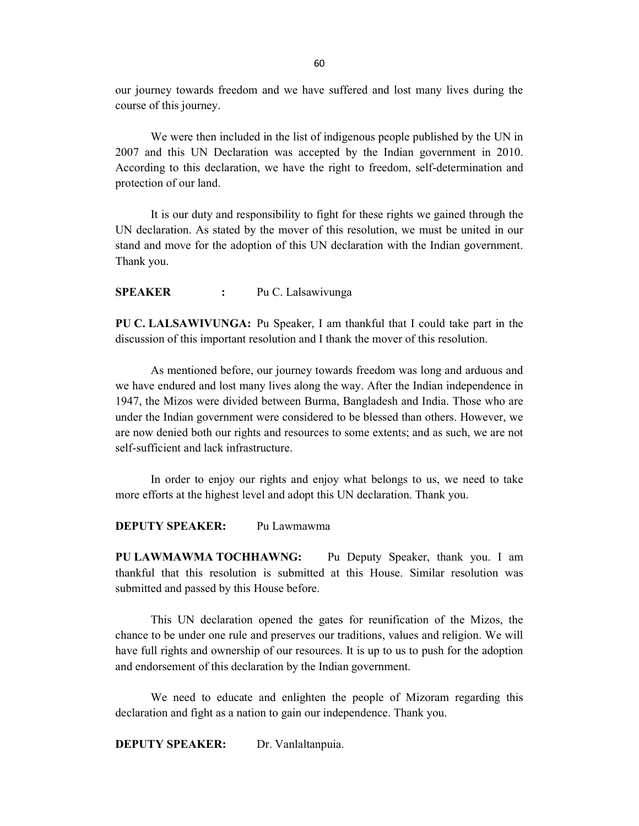our journey towards freedom and we have suffered and lost many lives during the course of this journey.

 We were then included in the list of indigenous people published by the UN in 2007 and this UN Declaration was accepted by the Indian government in 2010. According to this declaration, we have the right to freedom, self-determination and protection of our land.

 It is our duty and responsibility to fight for these rights we gained through the UN declaration. As stated by the mover of this resolution, we must be united in our stand and move for the adoption of this UN declaration with the Indian government. Thank you.

SPEAKER : Pu C. Lalsawivunga

PU C. LALSAWIVUNGA: Pu Speaker, I am thankful that I could take part in the discussion of this important resolution and I thank the mover of this resolution.

 As mentioned before, our journey towards freedom was long and arduous and we have endured and lost many lives along the way. After the Indian independence in 1947, the Mizos were divided between Burma, Bangladesh and India. Those who are under the Indian government were considered to be blessed than others. However, we are now denied both our rights and resources to some extents; and as such, we are not self-sufficient and lack infrastructure.

 In order to enjoy our rights and enjoy what belongs to us, we need to take more efforts at the highest level and adopt this UN declaration. Thank you.

DEPUTY SPEAKER: Pu Lawmawma

PU LAWMAWMA TOCHHAWNG: Pu Deputy Speaker, thank you. I am thankful that this resolution is submitted at this House. Similar resolution was submitted and passed by this House before.

 This UN declaration opened the gates for reunification of the Mizos, the chance to be under one rule and preserves our traditions, values and religion. We will have full rights and ownership of our resources. It is up to us to push for the adoption and endorsement of this declaration by the Indian government.

 We need to educate and enlighten the people of Mizoram regarding this declaration and fight as a nation to gain our independence. Thank you.

DEPUTY SPEAKER: Dr. Vanlaltanpuia.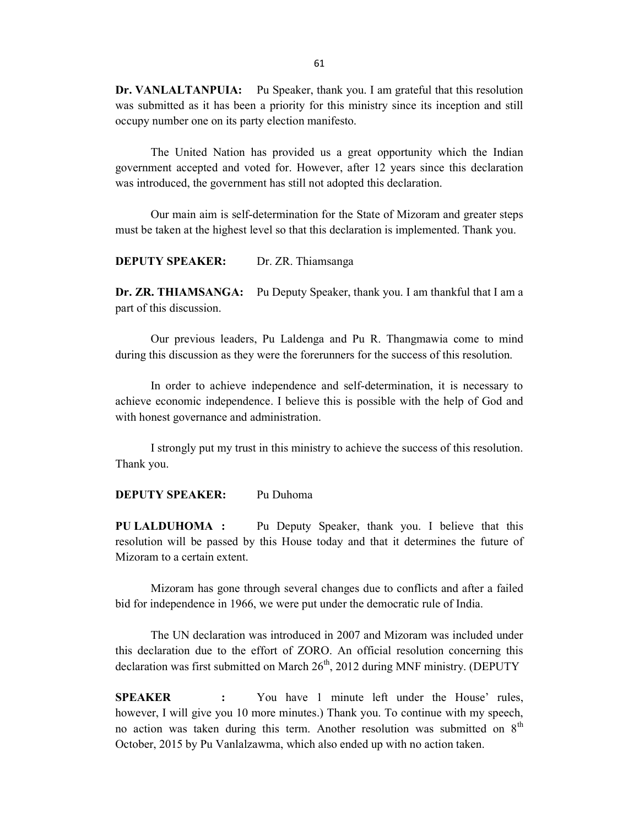Dr. VANLALTANPUIA: Pu Speaker, thank you. I am grateful that this resolution was submitted as it has been a priority for this ministry since its inception and still occupy number one on its party election manifesto.

 The United Nation has provided us a great opportunity which the Indian government accepted and voted for. However, after 12 years since this declaration was introduced, the government has still not adopted this declaration.

 Our main aim is self-determination for the State of Mizoram and greater steps must be taken at the highest level so that this declaration is implemented. Thank you.

DEPUTY SPEAKER: Dr. ZR. Thiamsanga

Dr. ZR. THIAMSANGA: Pu Deputy Speaker, thank you. I am thankful that I am a part of this discussion.

 Our previous leaders, Pu Laldenga and Pu R. Thangmawia come to mind during this discussion as they were the forerunners for the success of this resolution.

 In order to achieve independence and self-determination, it is necessary to achieve economic independence. I believe this is possible with the help of God and with honest governance and administration.

 I strongly put my trust in this ministry to achieve the success of this resolution. Thank you.

DEPUTY SPEAKER: Pu Duhoma

PU LALDUHOMA : Pu Deputy Speaker, thank you. I believe that this resolution will be passed by this House today and that it determines the future of Mizoram to a certain extent.

 Mizoram has gone through several changes due to conflicts and after a failed bid for independence in 1966, we were put under the democratic rule of India.

 The UN declaration was introduced in 2007 and Mizoram was included under this declaration due to the effort of ZORO. An official resolution concerning this declaration was first submitted on March  $26<sup>th</sup>$ , 2012 during MNF ministry. (DEPUTY

SPEAKER : You have 1 minute left under the House' rules, however, I will give you 10 more minutes.) Thank you. To continue with my speech, no action was taken during this term. Another resolution was submitted on  $8<sup>th</sup>$ October, 2015 by Pu Vanlalzawma, which also ended up with no action taken.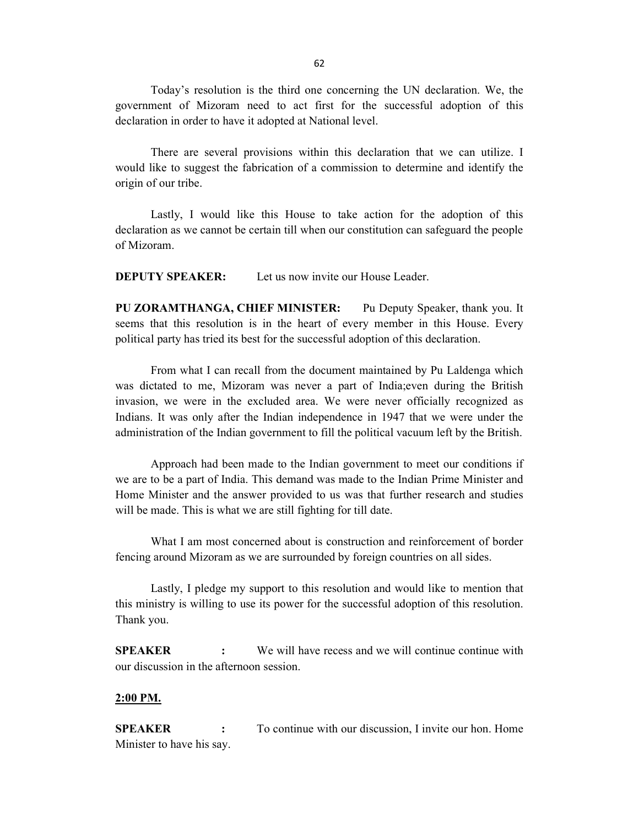Today's resolution is the third one concerning the UN declaration. We, the government of Mizoram need to act first for the successful adoption of this declaration in order to have it adopted at National level.

 There are several provisions within this declaration that we can utilize. I would like to suggest the fabrication of a commission to determine and identify the origin of our tribe.

 Lastly, I would like this House to take action for the adoption of this declaration as we cannot be certain till when our constitution can safeguard the people of Mizoram.

**DEPUTY SPEAKER:** Let us now invite our House Leader.

PU ZORAMTHANGA, CHIEF MINISTER: Pu Deputy Speaker, thank you. It seems that this resolution is in the heart of every member in this House. Every political party has tried its best for the successful adoption of this declaration.

 From what I can recall from the document maintained by Pu Laldenga which was dictated to me, Mizoram was never a part of India;even during the British invasion, we were in the excluded area. We were never officially recognized as Indians. It was only after the Indian independence in 1947 that we were under the administration of the Indian government to fill the political vacuum left by the British.

 Approach had been made to the Indian government to meet our conditions if we are to be a part of India. This demand was made to the Indian Prime Minister and Home Minister and the answer provided to us was that further research and studies will be made. This is what we are still fighting for till date.

 What I am most concerned about is construction and reinforcement of border fencing around Mizoram as we are surrounded by foreign countries on all sides.

 Lastly, I pledge my support to this resolution and would like to mention that this ministry is willing to use its power for the successful adoption of this resolution. Thank you.

SPEAKER : We will have recess and we will continue continue with our discussion in the afternoon session.

#### 2:00 PM.

SPEAKER : To continue with our discussion, I invite our hon. Home Minister to have his say.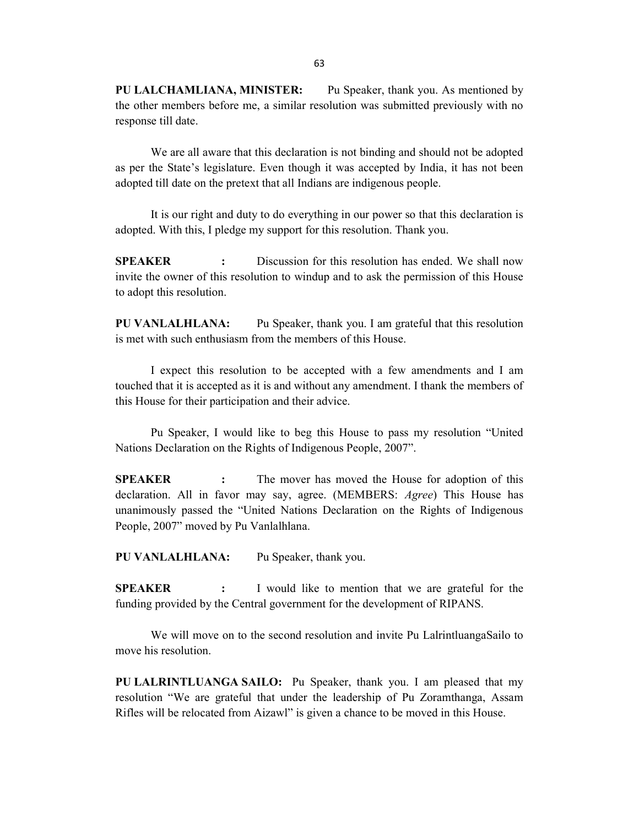PU LALCHAMLIANA, MINISTER: Pu Speaker, thank you. As mentioned by the other members before me, a similar resolution was submitted previously with no response till date.

 We are all aware that this declaration is not binding and should not be adopted as per the State's legislature. Even though it was accepted by India, it has not been adopted till date on the pretext that all Indians are indigenous people.

 It is our right and duty to do everything in our power so that this declaration is adopted. With this, I pledge my support for this resolution. Thank you.

**SPEAKER** : Discussion for this resolution has ended. We shall now invite the owner of this resolution to windup and to ask the permission of this House to adopt this resolution.

PU VANLALHLANA: Pu Speaker, thank you. I am grateful that this resolution is met with such enthusiasm from the members of this House.

 I expect this resolution to be accepted with a few amendments and I am touched that it is accepted as it is and without any amendment. I thank the members of this House for their participation and their advice.

 Pu Speaker, I would like to beg this House to pass my resolution "United Nations Declaration on the Rights of Indigenous People, 2007".

**SPEAKER** : The mover has moved the House for adoption of this declaration. All in favor may say, agree. (MEMBERS: Agree) This House has unanimously passed the "United Nations Declaration on the Rights of Indigenous People, 2007" moved by Pu Vanlalhlana.

PU VANLALHLANA: Pu Speaker, thank you.

SPEAKER : I would like to mention that we are grateful for the funding provided by the Central government for the development of RIPANS.

 We will move on to the second resolution and invite Pu LalrintluangaSailo to move his resolution.

PU LALRINTLUANGA SAILO: Pu Speaker, thank you. I am pleased that my resolution "We are grateful that under the leadership of Pu Zoramthanga, Assam Rifles will be relocated from Aizawl" is given a chance to be moved in this House.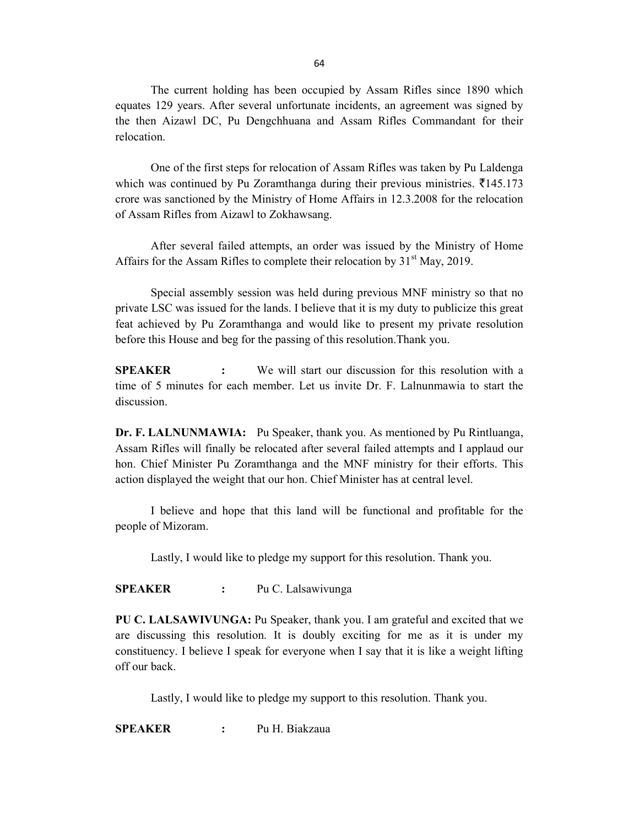The current holding has been occupied by Assam Rifles since 1890 which equates 129 years. After several unfortunate incidents, an agreement was signed by the then Aizawl DC, Pu Dengchhuana and Assam Rifles Commandant for their relocation.

 One of the first steps for relocation of Assam Rifles was taken by Pu Laldenga which was continued by Pu Zoramthanga during their previous ministries.  $\bar{\tau}$ 145.173 crore was sanctioned by the Ministry of Home Affairs in 12.3.2008 for the relocation of Assam Rifles from Aizawl to Zokhawsang.

 After several failed attempts, an order was issued by the Ministry of Home Affairs for the Assam Rifles to complete their relocation by  $31<sup>st</sup>$  May, 2019.

 Special assembly session was held during previous MNF ministry so that no private LSC was issued for the lands. I believe that it is my duty to publicize this great feat achieved by Pu Zoramthanga and would like to present my private resolution before this House and beg for the passing of this resolution.Thank you.

SPEAKER : We will start our discussion for this resolution with a time of 5 minutes for each member. Let us invite Dr. F. Lalnunmawia to start the discussion.

Dr. F. LALNUNMAWIA: Pu Speaker, thank you. As mentioned by Pu Rintluanga, Assam Rifles will finally be relocated after several failed attempts and I applaud our hon. Chief Minister Pu Zoramthanga and the MNF ministry for their efforts. This action displayed the weight that our hon. Chief Minister has at central level.

 I believe and hope that this land will be functional and profitable for the people of Mizoram.

Lastly, I would like to pledge my support for this resolution. Thank you.

SPEAKER : Pu C. Lalsawivunga

PU C. LALSAWIVUNGA: Pu Speaker, thank you. I am grateful and excited that we are discussing this resolution. It is doubly exciting for me as it is under my constituency. I believe I speak for everyone when I say that it is like a weight lifting off our back.

Lastly, I would like to pledge my support to this resolution. Thank you.

SPEAKER : Pu H. Biakzaua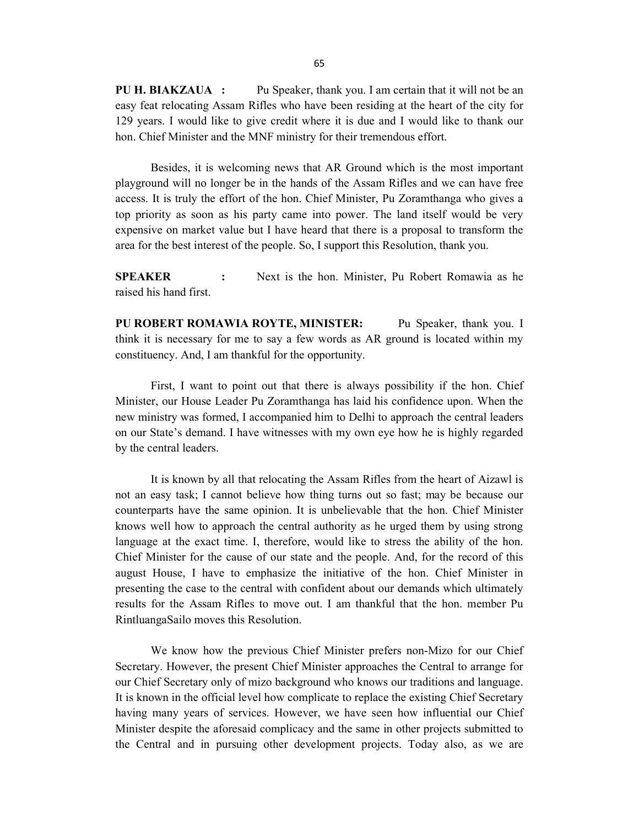PU H. BIAKZAUA : Pu Speaker, thank you. I am certain that it will not be an easy feat relocating Assam Rifles who have been residing at the heart of the city for 129 years. I would like to give credit where it is due and I would like to thank our hon. Chief Minister and the MNF ministry for their tremendous effort.

 Besides, it is welcoming news that AR Ground which is the most important playground will no longer be in the hands of the Assam Rifles and we can have free access. It is truly the effort of the hon. Chief Minister, Pu Zoramthanga who gives a top priority as soon as his party came into power. The land itself would be very expensive on market value but I have heard that there is a proposal to transform the area for the best interest of the people. So, I support this Resolution, thank you.

SPEAKER : Next is the hon. Minister, Pu Robert Romawia as he raised his hand first.

PU ROBERT ROMAWIA ROYTE, MINISTER: Pu Speaker, thank you. I think it is necessary for me to say a few words as AR ground is located within my constituency. And, I am thankful for the opportunity.

 First, I want to point out that there is always possibility if the hon. Chief Minister, our House Leader Pu Zoramthanga has laid his confidence upon. When the new ministry was formed, I accompanied him to Delhi to approach the central leaders on our State's demand. I have witnesses with my own eye how he is highly regarded by the central leaders.

 It is known by all that relocating the Assam Rifles from the heart of Aizawl is not an easy task; I cannot believe how thing turns out so fast; may be because our counterparts have the same opinion. It is unbelievable that the hon. Chief Minister knows well how to approach the central authority as he urged them by using strong language at the exact time. I, therefore, would like to stress the ability of the hon. Chief Minister for the cause of our state and the people. And, for the record of this august House, I have to emphasize the initiative of the hon. Chief Minister in presenting the case to the central with confident about our demands which ultimately results for the Assam Rifles to move out. I am thankful that the hon. member Pu RintluangaSailo moves this Resolution.

 We know how the previous Chief Minister prefers non-Mizo for our Chief Secretary. However, the present Chief Minister approaches the Central to arrange for our Chief Secretary only of mizo background who knows our traditions and language. It is known in the official level how complicate to replace the existing Chief Secretary having many years of services. However, we have seen how influential our Chief Minister despite the aforesaid complicacy and the same in other projects submitted to the Central and in pursuing other development projects. Today also, as we are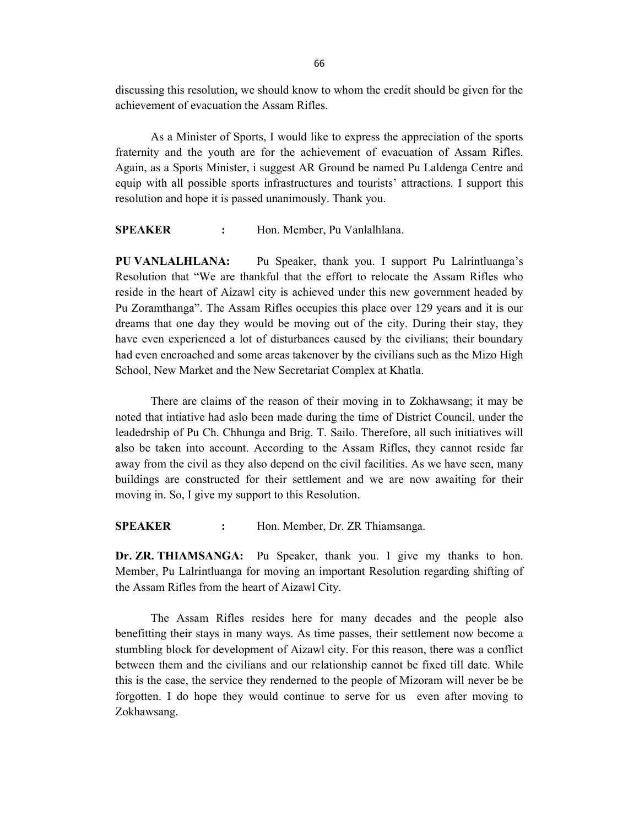discussing this resolution, we should know to whom the credit should be given for the achievement of evacuation the Assam Rifles.

 As a Minister of Sports, I would like to express the appreciation of the sports fraternity and the youth are for the achievement of evacuation of Assam Rifles. Again, as a Sports Minister, i suggest AR Ground be named Pu Laldenga Centre and equip with all possible sports infrastructures and tourists' attractions. I support this resolution and hope it is passed unanimously. Thank you.

SPEAKER : Hon. Member, Pu Vanlalhlana.

PU VANLALHLANA: Pu Speaker, thank you. I support Pu Lalrintluanga's Resolution that "We are thankful that the effort to relocate the Assam Rifles who reside in the heart of Aizawl city is achieved under this new government headed by Pu Zoramthanga". The Assam Rifles occupies this place over 129 years and it is our dreams that one day they would be moving out of the city. During their stay, they have even experienced a lot of disturbances caused by the civilians; their boundary had even encroached and some areas takenover by the civilians such as the Mizo High School, New Market and the New Secretariat Complex at Khatla.

 There are claims of the reason of their moving in to Zokhawsang; it may be noted that intiative had aslo been made during the time of District Council, under the leadedrship of Pu Ch. Chhunga and Brig. T. Sailo. Therefore, all such initiatives will also be taken into account. According to the Assam Rifles, they cannot reside far away from the civil as they also depend on the civil facilities. As we have seen, many buildings are constructed for their settlement and we are now awaiting for their moving in. So, I give my support to this Resolution.

SPEAKER : Hon. Member, Dr. ZR Thiamsanga.

Dr. ZR. THIAMSANGA: Pu Speaker, thank you. I give my thanks to hon. Member, Pu Lalrintluanga for moving an important Resolution regarding shifting of the Assam Rifles from the heart of Aizawl City.

 The Assam Rifles resides here for many decades and the people also benefitting their stays in many ways. As time passes, their settlement now become a stumbling block for development of Aizawl city. For this reason, there was a conflict between them and the civilians and our relationship cannot be fixed till date. While this is the case, the service they renderned to the people of Mizoram will never be be forgotten. I do hope they would continue to serve for us even after moving to Zokhawsang.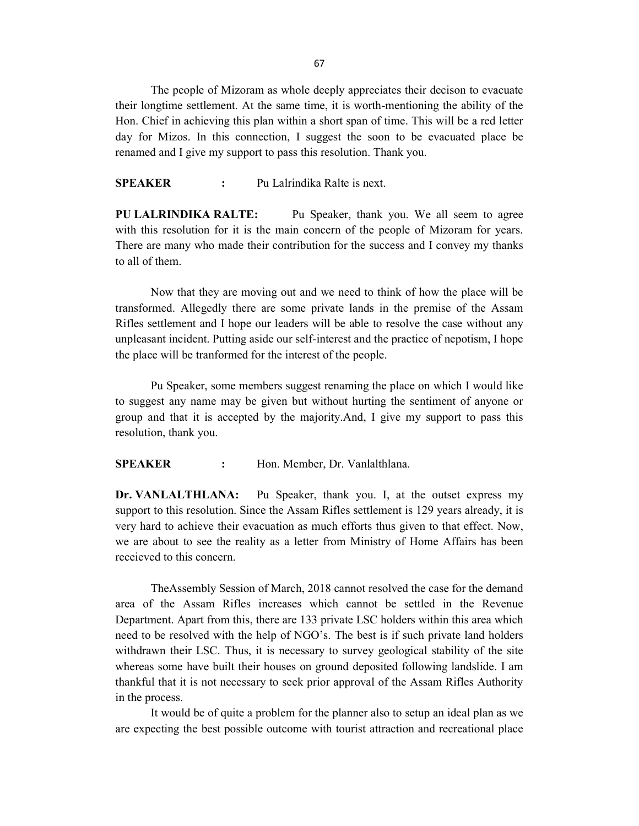67

 The people of Mizoram as whole deeply appreciates their decison to evacuate their longtime settlement. At the same time, it is worth-mentioning the ability of the Hon. Chief in achieving this plan within a short span of time. This will be a red letter day for Mizos. In this connection, I suggest the soon to be evacuated place be renamed and I give my support to pass this resolution. Thank you.

SPEAKER : Pu Lalrindika Ralte is next.

PU LALRINDIKA RALTE: Pu Speaker, thank you. We all seem to agree with this resolution for it is the main concern of the people of Mizoram for years. There are many who made their contribution for the success and I convey my thanks to all of them.

 Now that they are moving out and we need to think of how the place will be transformed. Allegedly there are some private lands in the premise of the Assam Rifles settlement and I hope our leaders will be able to resolve the case without any unpleasant incident. Putting aside our self-interest and the practice of nepotism, I hope the place will be tranformed for the interest of the people.

 Pu Speaker, some members suggest renaming the place on which I would like to suggest any name may be given but without hurting the sentiment of anyone or group and that it is accepted by the majority.And, I give my support to pass this resolution, thank you.

SPEAKER : Hon. Member, Dr. Vanlalthlana.

Dr. VANLALTHLANA: Pu Speaker, thank you. I, at the outset express my support to this resolution. Since the Assam Rifles settlement is 129 years already, it is very hard to achieve their evacuation as much efforts thus given to that effect. Now, we are about to see the reality as a letter from Ministry of Home Affairs has been receieved to this concern.

 TheAssembly Session of March, 2018 cannot resolved the case for the demand area of the Assam Rifles increases which cannot be settled in the Revenue Department. Apart from this, there are 133 private LSC holders within this area which need to be resolved with the help of NGO's. The best is if such private land holders withdrawn their LSC. Thus, it is necessary to survey geological stability of the site whereas some have built their houses on ground deposited following landslide. I am thankful that it is not necessary to seek prior approval of the Assam Rifles Authority in the process.

 It would be of quite a problem for the planner also to setup an ideal plan as we are expecting the best possible outcome with tourist attraction and recreational place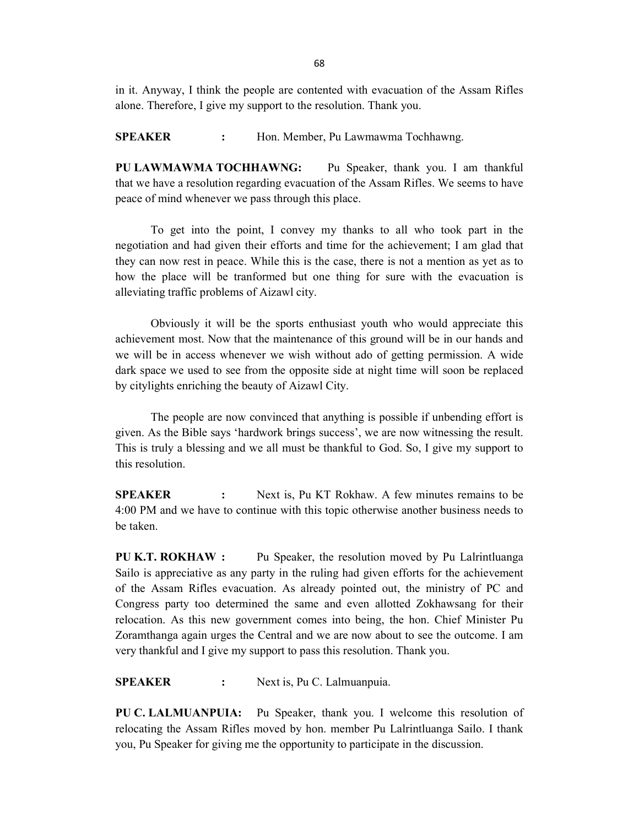in it. Anyway, I think the people are contented with evacuation of the Assam Rifles alone. Therefore, I give my support to the resolution. Thank you.

SPEAKER : Hon. Member, Pu Lawmawma Tochhawng.

PU LAWMAWMA TOCHHAWNG: Pu Speaker, thank you. I am thankful that we have a resolution regarding evacuation of the Assam Rifles. We seems to have peace of mind whenever we pass through this place.

 To get into the point, I convey my thanks to all who took part in the negotiation and had given their efforts and time for the achievement; I am glad that they can now rest in peace. While this is the case, there is not a mention as yet as to how the place will be tranformed but one thing for sure with the evacuation is alleviating traffic problems of Aizawl city.

 Obviously it will be the sports enthusiast youth who would appreciate this achievement most. Now that the maintenance of this ground will be in our hands and we will be in access whenever we wish without ado of getting permission. A wide dark space we used to see from the opposite side at night time will soon be replaced by citylights enriching the beauty of Aizawl City.

 The people are now convinced that anything is possible if unbending effort is given. As the Bible says 'hardwork brings success', we are now witnessing the result. This is truly a blessing and we all must be thankful to God. So, I give my support to this resolution.

SPEAKER : Next is, Pu KT Rokhaw. A few minutes remains to be 4:00 PM and we have to continue with this topic otherwise another business needs to be taken.

PU K.T. ROKHAW : Pu Speaker, the resolution moved by Pu Lalrintluanga Sailo is appreciative as any party in the ruling had given efforts for the achievement of the Assam Rifles evacuation. As already pointed out, the ministry of PC and Congress party too determined the same and even allotted Zokhawsang for their relocation. As this new government comes into being, the hon. Chief Minister Pu Zoramthanga again urges the Central and we are now about to see the outcome. I am very thankful and I give my support to pass this resolution. Thank you.

SPEAKER : Next is, Pu C. Lalmuanpuia.

PU C. LALMUANPUIA: Pu Speaker, thank you. I welcome this resolution of relocating the Assam Rifles moved by hon. member Pu Lalrintluanga Sailo. I thank you, Pu Speaker for giving me the opportunity to participate in the discussion.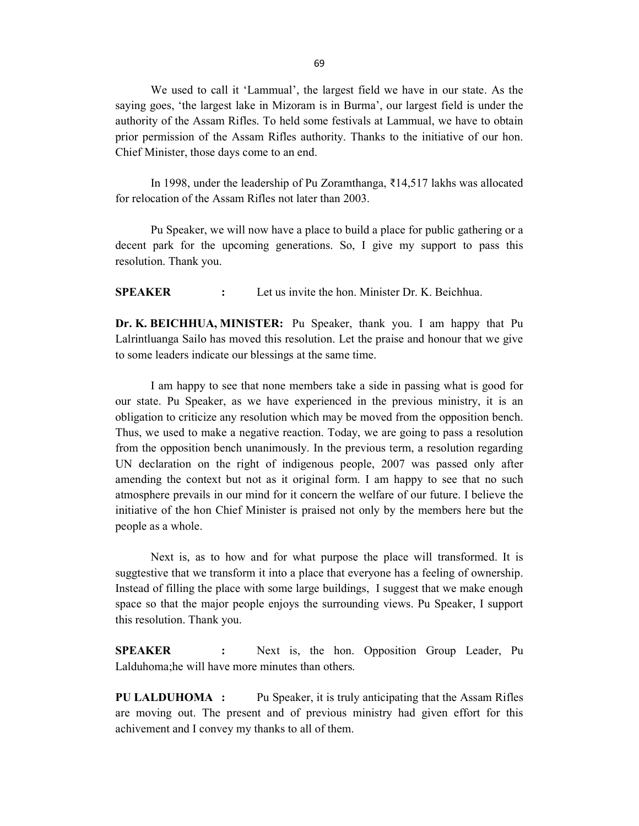We used to call it 'Lammual', the largest field we have in our state. As the saying goes, 'the largest lake in Mizoram is in Burma', our largest field is under the authority of the Assam Rifles. To held some festivals at Lammual, we have to obtain prior permission of the Assam Rifles authority. Thanks to the initiative of our hon. Chief Minister, those days come to an end.

 In 1998, under the leadership of Pu Zoramthanga, ₹14,517 lakhs was allocated for relocation of the Assam Rifles not later than 2003.

 Pu Speaker, we will now have a place to build a place for public gathering or a decent park for the upcoming generations. So, I give my support to pass this resolution. Thank you.

SPEAKER : Let us invite the hon. Minister Dr. K. Beichhua.

Dr. K. BEICHHUA, MINISTER: Pu Speaker, thank you. I am happy that Pu Lalrintluanga Sailo has moved this resolution. Let the praise and honour that we give to some leaders indicate our blessings at the same time.

 I am happy to see that none members take a side in passing what is good for our state. Pu Speaker, as we have experienced in the previous ministry, it is an obligation to criticize any resolution which may be moved from the opposition bench. Thus, we used to make a negative reaction. Today, we are going to pass a resolution from the opposition bench unanimously. In the previous term, a resolution regarding UN declaration on the right of indigenous people, 2007 was passed only after amending the context but not as it original form. I am happy to see that no such atmosphere prevails in our mind for it concern the welfare of our future. I believe the initiative of the hon Chief Minister is praised not only by the members here but the people as a whole.

 Next is, as to how and for what purpose the place will transformed. It is suggtestive that we transform it into a place that everyone has a feeling of ownership. Instead of filling the place with some large buildings, I suggest that we make enough space so that the major people enjoys the surrounding views. Pu Speaker, I support this resolution. Thank you.

SPEAKER : Next is, the hon. Opposition Group Leader, Pu Lalduhoma;he will have more minutes than others.

PU LALDUHOMA : Pu Speaker, it is truly anticipating that the Assam Rifles are moving out. The present and of previous ministry had given effort for this achivement and I convey my thanks to all of them.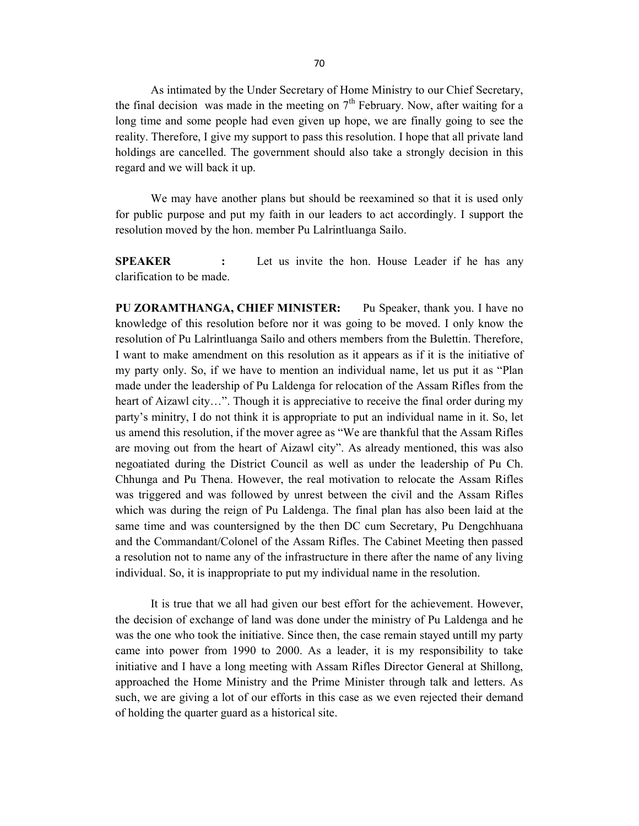As intimated by the Under Secretary of Home Ministry to our Chief Secretary, the final decision was made in the meeting on  $7<sup>th</sup>$  February. Now, after waiting for a long time and some people had even given up hope, we are finally going to see the reality. Therefore, I give my support to pass this resolution. I hope that all private land holdings are cancelled. The government should also take a strongly decision in this regard and we will back it up.

We may have another plans but should be reexamined so that it is used only for public purpose and put my faith in our leaders to act accordingly. I support the resolution moved by the hon. member Pu Lalrintluanga Sailo.

**SPEAKER** : Let us invite the hon. House Leader if he has any clarification to be made.

PU ZORAMTHANGA, CHIEF MINISTER: Pu Speaker, thank you. I have no knowledge of this resolution before nor it was going to be moved. I only know the resolution of Pu Lalrintluanga Sailo and others members from the Bulettin. Therefore, I want to make amendment on this resolution as it appears as if it is the initiative of my party only. So, if we have to mention an individual name, let us put it as "Plan made under the leadership of Pu Laldenga for relocation of the Assam Rifles from the heart of Aizawl city...". Though it is appreciative to receive the final order during my party's minitry, I do not think it is appropriate to put an individual name in it. So, let us amend this resolution, if the mover agree as "We are thankful that the Assam Rifles are moving out from the heart of Aizawl city". As already mentioned, this was also negoatiated during the District Council as well as under the leadership of Pu Ch. Chhunga and Pu Thena. However, the real motivation to relocate the Assam Rifles was triggered and was followed by unrest between the civil and the Assam Rifles which was during the reign of Pu Laldenga. The final plan has also been laid at the same time and was countersigned by the then DC cum Secretary, Pu Dengchhuana and the Commandant/Colonel of the Assam Rifles. The Cabinet Meeting then passed a resolution not to name any of the infrastructure in there after the name of any living individual. So, it is inappropriate to put my individual name in the resolution.

 It is true that we all had given our best effort for the achievement. However, the decision of exchange of land was done under the ministry of Pu Laldenga and he was the one who took the initiative. Since then, the case remain stayed untill my party came into power from 1990 to 2000. As a leader, it is my responsibility to take initiative and I have a long meeting with Assam Rifles Director General at Shillong, approached the Home Ministry and the Prime Minister through talk and letters. As such, we are giving a lot of our efforts in this case as we even rejected their demand of holding the quarter guard as a historical site.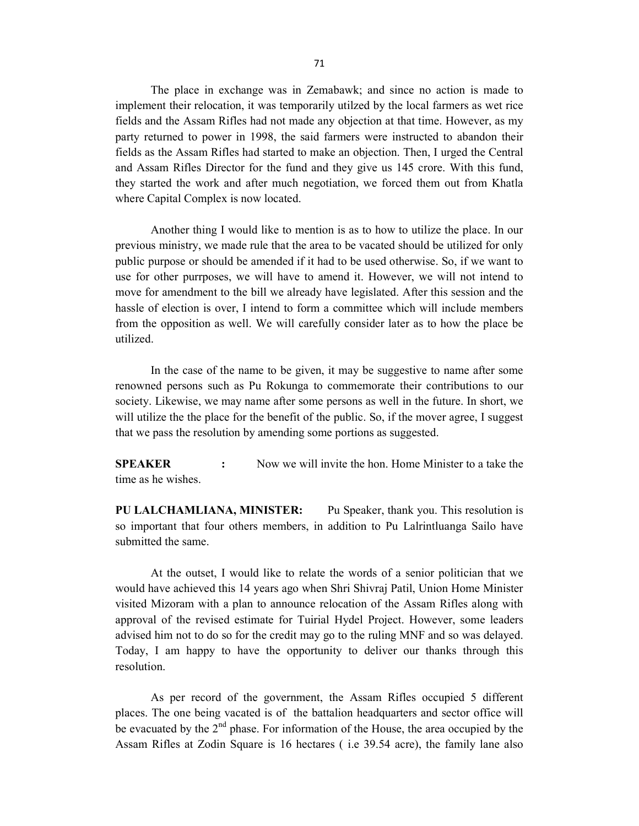The place in exchange was in Zemabawk; and since no action is made to implement their relocation, it was temporarily utilzed by the local farmers as wet rice fields and the Assam Rifles had not made any objection at that time. However, as my party returned to power in 1998, the said farmers were instructed to abandon their fields as the Assam Rifles had started to make an objection. Then, I urged the Central and Assam Rifles Director for the fund and they give us 145 crore. With this fund, they started the work and after much negotiation, we forced them out from Khatla where Capital Complex is now located.

 Another thing I would like to mention is as to how to utilize the place. In our previous ministry, we made rule that the area to be vacated should be utilized for only public purpose or should be amended if it had to be used otherwise. So, if we want to use for other purrposes, we will have to amend it. However, we will not intend to move for amendment to the bill we already have legislated. After this session and the hassle of election is over, I intend to form a committee which will include members from the opposition as well. We will carefully consider later as to how the place be utilized.

 In the case of the name to be given, it may be suggestive to name after some renowned persons such as Pu Rokunga to commemorate their contributions to our society. Likewise, we may name after some persons as well in the future. In short, we will utilize the the place for the benefit of the public. So, if the mover agree, I suggest that we pass the resolution by amending some portions as suggested.

SPEAKER : Now we will invite the hon. Home Minister to a take the time as he wishes.

PU LALCHAMLIANA, MINISTER: Pu Speaker, thank you. This resolution is so important that four others members, in addition to Pu Lalrintluanga Sailo have submitted the same.

At the outset, I would like to relate the words of a senior politician that we would have achieved this 14 years ago when Shri Shivraj Patil, Union Home Minister visited Mizoram with a plan to announce relocation of the Assam Rifles along with approval of the revised estimate for Tuirial Hydel Project. However, some leaders advised him not to do so for the credit may go to the ruling MNF and so was delayed. Today, I am happy to have the opportunity to deliver our thanks through this resolution.

As per record of the government, the Assam Rifles occupied 5 different places. The one being vacated is of the battalion headquarters and sector office will be evacuated by the  $2<sup>nd</sup>$  phase. For information of the House, the area occupied by the Assam Rifles at Zodin Square is 16 hectares ( i.e 39.54 acre), the family lane also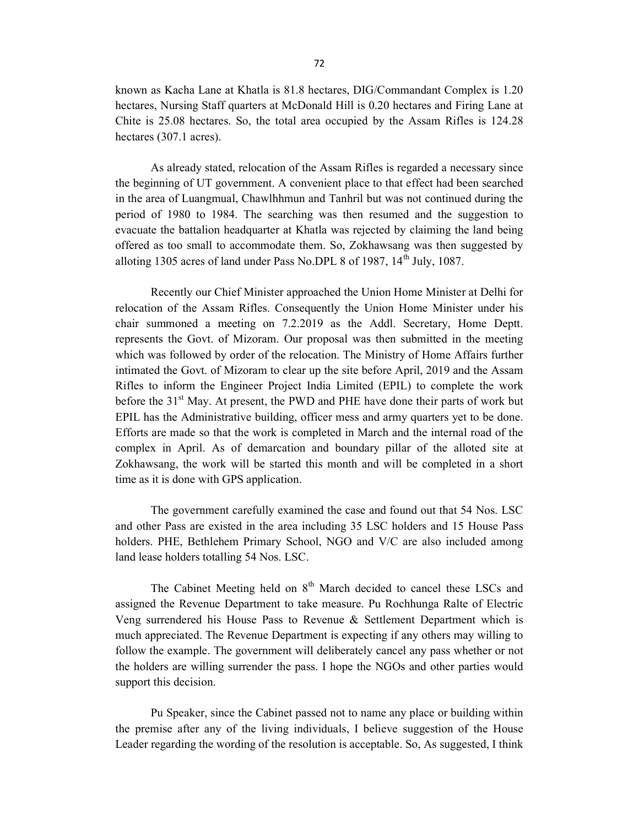known as Kacha Lane at Khatla is 81.8 hectares, DIG/Commandant Complex is 1.20 hectares, Nursing Staff quarters at McDonald Hill is 0.20 hectares and Firing Lane at Chite is 25.08 hectares. So, the total area occupied by the Assam Rifles is 124.28 hectares (307.1 acres).

 As already stated, relocation of the Assam Rifles is regarded a necessary since the beginning of UT government. A convenient place to that effect had been searched in the area of Luangmual, Chawlhhmun and Tanhril but was not continued during the period of 1980 to 1984. The searching was then resumed and the suggestion to evacuate the battalion headquarter at Khatla was rejected by claiming the land being offered as too small to accommodate them. So, Zokhawsang was then suggested by alloting 1305 acres of land under Pass No.DPL 8 of 1987,  $14<sup>th</sup>$  July, 1087.

Recently our Chief Minister approached the Union Home Minister at Delhi for relocation of the Assam Rifles. Consequently the Union Home Minister under his chair summoned a meeting on 7.2.2019 as the Addl. Secretary, Home Deptt. represents the Govt. of Mizoram. Our proposal was then submitted in the meeting which was followed by order of the relocation. The Ministry of Home Affairs further intimated the Govt. of Mizoram to clear up the site before April, 2019 and the Assam Rifles to inform the Engineer Project India Limited (EPIL) to complete the work before the  $31<sup>st</sup>$  May. At present, the PWD and PHE have done their parts of work but EPIL has the Administrative building, officer mess and army quarters yet to be done. Efforts are made so that the work is completed in March and the internal road of the complex in April. As of demarcation and boundary pillar of the alloted site at Zokhawsang, the work will be started this month and will be completed in a short time as it is done with GPS application.

The government carefully examined the case and found out that 54 Nos. LSC and other Pass are existed in the area including 35 LSC holders and 15 House Pass holders. PHE, Bethlehem Primary School, NGO and V/C are also included among land lease holders totalling 54 Nos. LSC.

The Cabinet Meeting held on  $8<sup>th</sup>$  March decided to cancel these LSCs and assigned the Revenue Department to take measure. Pu Rochhunga Ralte of Electric Veng surrendered his House Pass to Revenue & Settlement Department which is much appreciated. The Revenue Department is expecting if any others may willing to follow the example. The government will deliberately cancel any pass whether or not the holders are willing surrender the pass. I hope the NGOs and other parties would support this decision.

Pu Speaker, since the Cabinet passed not to name any place or building within the premise after any of the living individuals, I believe suggestion of the House Leader regarding the wording of the resolution is acceptable. So, As suggested, I think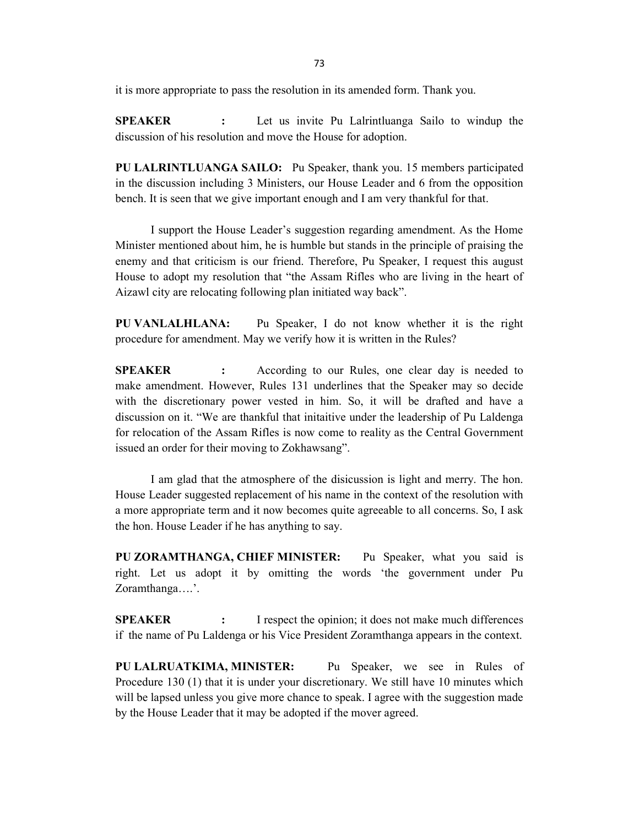it is more appropriate to pass the resolution in its amended form. Thank you.

SPEAKER : Let us invite Pu Lalrintluanga Sailo to windup the discussion of his resolution and move the House for adoption.

PU LALRINTLUANGA SAILO: Pu Speaker, thank you. 15 members participated in the discussion including 3 Ministers, our House Leader and 6 from the opposition bench. It is seen that we give important enough and I am very thankful for that.

 I support the House Leader's suggestion regarding amendment. As the Home Minister mentioned about him, he is humble but stands in the principle of praising the enemy and that criticism is our friend. Therefore, Pu Speaker, I request this august House to adopt my resolution that "the Assam Rifles who are living in the heart of Aizawl city are relocating following plan initiated way back".

PU VANLALHLANA: Pu Speaker, I do not know whether it is the right procedure for amendment. May we verify how it is written in the Rules?

**SPEAKER** : According to our Rules, one clear day is needed to make amendment. However, Rules 131 underlines that the Speaker may so decide with the discretionary power vested in him. So, it will be drafted and have a discussion on it. "We are thankful that initaitive under the leadership of Pu Laldenga for relocation of the Assam Rifles is now come to reality as the Central Government issued an order for their moving to Zokhawsang".

 I am glad that the atmosphere of the disicussion is light and merry. The hon. House Leader suggested replacement of his name in the context of the resolution with a more appropriate term and it now becomes quite agreeable to all concerns. So, I ask the hon. House Leader if he has anything to say.

PU ZORAMTHANGA, CHIEF MINISTER: Pu Speaker, what you said is right. Let us adopt it by omitting the words 'the government under Pu Zoramthanga….'.

**SPEAKER** : I respect the opinion; it does not make much differences if the name of Pu Laldenga or his Vice President Zoramthanga appears in the context.

PU LALRUATKIMA, MINISTER: Pu Speaker, we see in Rules of Procedure 130 (1) that it is under your discretionary. We still have 10 minutes which will be lapsed unless you give more chance to speak. I agree with the suggestion made by the House Leader that it may be adopted if the mover agreed.